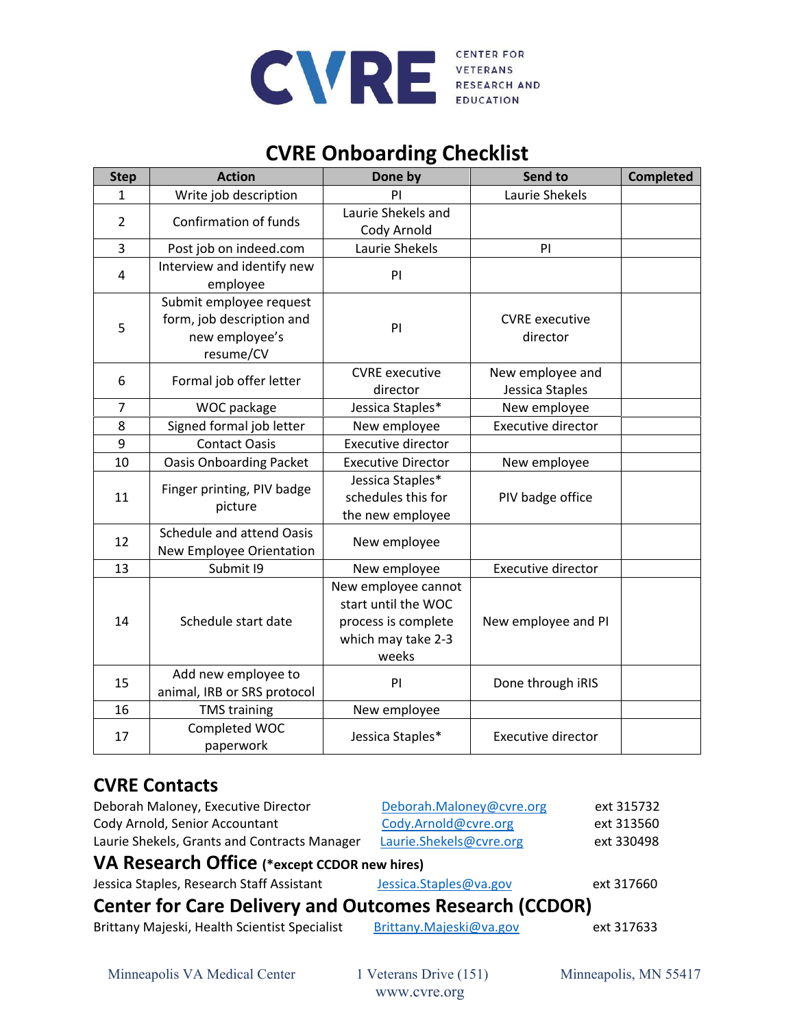

# **CVRE Onboarding Checklist**

| <b>Step</b>    | <b>Action</b>                                                                       | Done by                                                                                          | Send to                             | <b>Completed</b> |
|----------------|-------------------------------------------------------------------------------------|--------------------------------------------------------------------------------------------------|-------------------------------------|------------------|
| 1              | Write job description                                                               | Laurie Shekels<br>PI                                                                             |                                     |                  |
| $\overline{2}$ | Confirmation of funds                                                               | Laurie Shekels and                                                                               |                                     |                  |
|                |                                                                                     | Cody Arnold                                                                                      |                                     |                  |
| 3              | Post job on indeed.com                                                              | Laurie Shekels                                                                                   | PI                                  |                  |
| 4              | Interview and identify new<br>employee                                              | PI                                                                                               |                                     |                  |
| 5              | Submit employee request<br>form, job description and<br>new employee's<br>resume/CV | PI                                                                                               | <b>CVRE</b> executive<br>director   |                  |
| 6              | Formal job offer letter                                                             | <b>CVRE</b> executive<br>director                                                                | New employee and<br>Jessica Staples |                  |
| $\overline{7}$ | WOC package                                                                         | Jessica Staples*                                                                                 | New employee                        |                  |
| 8              | Signed formal job letter                                                            | New employee                                                                                     | <b>Executive director</b>           |                  |
| 9              | <b>Contact Oasis</b>                                                                | Executive director                                                                               |                                     |                  |
| 10             | <b>Oasis Onboarding Packet</b>                                                      | <b>Executive Director</b>                                                                        | New employee                        |                  |
| 11             | Finger printing, PIV badge<br>picture                                               | Jessica Staples*<br>schedules this for<br>the new employee                                       | PIV badge office                    |                  |
| 12             | <b>Schedule and attend Oasis</b><br>New Employee Orientation                        | New employee                                                                                     |                                     |                  |
| 13             | Submit I9                                                                           | New employee                                                                                     | <b>Executive director</b>           |                  |
| 14             | Schedule start date                                                                 | New employee cannot<br>start until the WOC<br>process is complete<br>which may take 2-3<br>weeks | New employee and PI                 |                  |
| 15             | Add new employee to<br>animal, IRB or SRS protocol                                  | PI                                                                                               | Done through iRIS                   |                  |
| 16             | <b>TMS training</b>                                                                 | New employee                                                                                     |                                     |                  |
| 17             | Completed WOC<br>paperwork                                                          | Jessica Staples*                                                                                 | <b>Executive director</b>           |                  |

### **CVRE Contacts**

| Deborah Maloney, Executive Director                           | Deborah.Maloney@cvre.org | ext 315732 |  |  |  |  |  |
|---------------------------------------------------------------|--------------------------|------------|--|--|--|--|--|
| Cody Arnold, Senior Accountant                                | Cody.Arnold@cvre.org     | ext 313560 |  |  |  |  |  |
| Laurie Shekels, Grants and Contracts Manager                  | Laurie.Shekels@cvre.org  | ext 330498 |  |  |  |  |  |
| VA Research Office (*except CCDOR new hires)                  |                          |            |  |  |  |  |  |
| Jessica Staples, Research Staff Assistant                     | Jessica.Staples@va.gov   | ext 317660 |  |  |  |  |  |
| <b>Center for Care Delivery and Outcomes Research (CCDOR)</b> |                          |            |  |  |  |  |  |
| Brittany Majeski, Health Scientist Specialist                 | Brittany.Majeski@va.gov  | ext 317633 |  |  |  |  |  |
|                                                               |                          |            |  |  |  |  |  |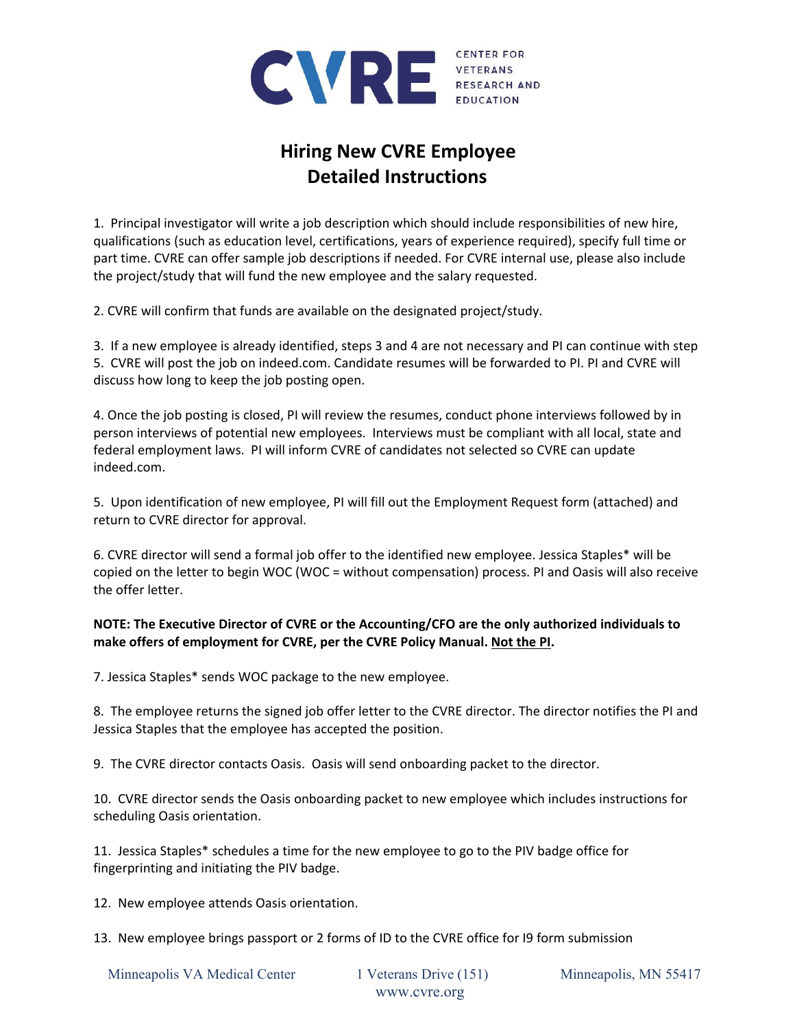

# **Hiring New CVRE Employee Detailed Instructions**

1. Principal investigator will write a job description which should include responsibilities of new hire, qualifications (such as education level, certifications, years of experience required), specify full time or part time. CVRE can offer sample job descriptions if needed. For CVRE internal use, please also include the project/study that will fund the new employee and the salary requested.

2. CVRE will confirm that funds are available on the designated project/study.

3. If a new employee is already identified, steps 3 and 4 are not necessary and PI can continue with step 5. CVRE will post the job on indeed.com. Candidate resumes will be forwarded to PI. PI and CVRE will discuss how long to keep the job posting open.

4. Once the job posting is closed, PI will review the resumes, conduct phone interviews followed by in person interviews of potential new employees. Interviews must be compliant with all local, state and federal employment laws. PI will inform CVRE of candidates not selected so CVRE can update indeed.com.

5. Upon identification of new employee, PI will fill out the Employment Request form (attached) and return to CVRE director for approval.

6. CVRE director will send a formal job offer to the identified new employee. Jessica Staples\* will be copied on the letter to begin WOC (WOC = without compensation) process. PI and Oasis will also receive the offer letter.

#### **NOTE: The Executive Director of CVRE or the Accounting/CFO are the only authorized individuals to make offers of employment for CVRE, per the CVRE Policy Manual. Not the PI.**

7. Jessica Staples\* sends WOC package to the new employee.

8. The employee returns the signed job offer letter to the CVRE director. The director notifies the PI and Jessica Staples that the employee has accepted the position.

9. The CVRE director contacts Oasis. Oasis will send onboarding packet to the director.

10. CVRE director sends the Oasis onboarding packet to new employee which includes instructions for scheduling Oasis orientation.

11. Jessica Staples\* schedules a time for the new employee to go to the PIV badge office for fingerprinting and initiating the PIV badge.

12. New employee attends Oasis orientation.

13. New employee brings passport or 2 forms of ID to the CVRE office for I9 form submission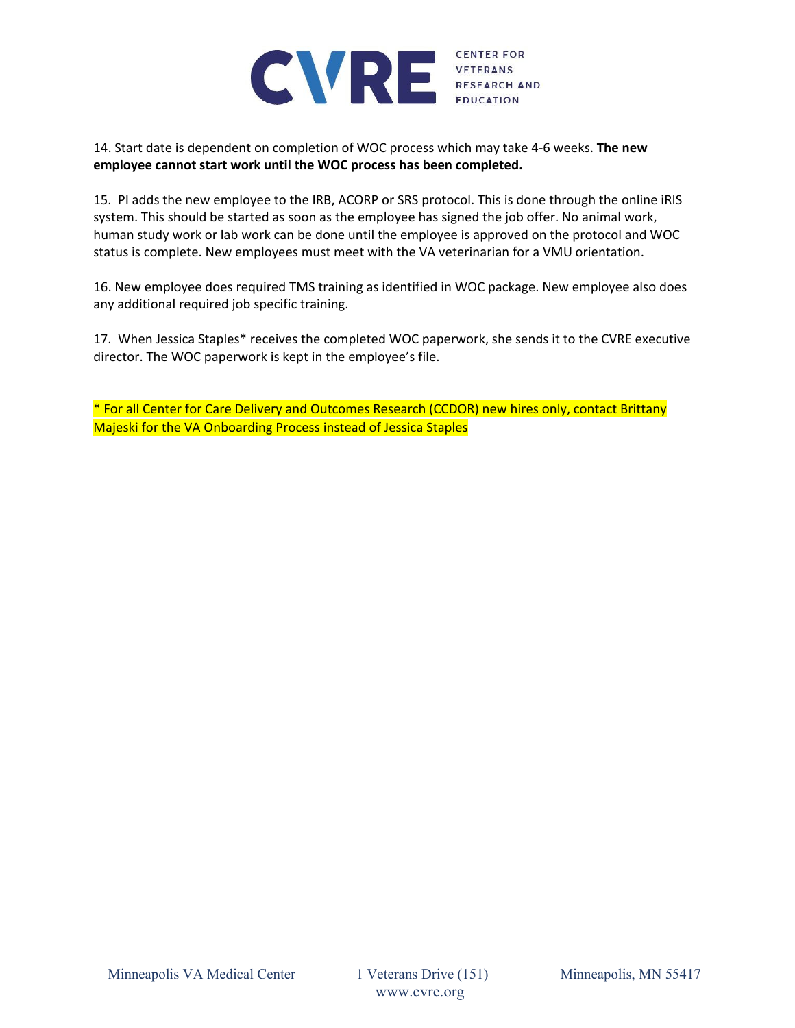

14. Start date is dependent on completion of WOC process which may take 4‐6 weeks. **The new employee cannot start work until the WOC process has been completed.**

15. PI adds the new employee to the IRB, ACORP or SRS protocol. This is done through the online iRIS system. This should be started as soon as the employee has signed the job offer. No animal work, human study work or lab work can be done until the employee is approved on the protocol and WOC status is complete. New employees must meet with the VA veterinarian for a VMU orientation.

16. New employee does required TMS training as identified in WOC package. New employee also does any additional required job specific training.

17. When Jessica Staples\* receives the completed WOC paperwork, she sends it to the CVRE executive director. The WOC paperwork is kept in the employee's file.

\* For all Center for Care Delivery and Outcomes Research (CCDOR) new hires only, contact Brittany Majeski for the VA Onboarding Process instead of Jessica Staples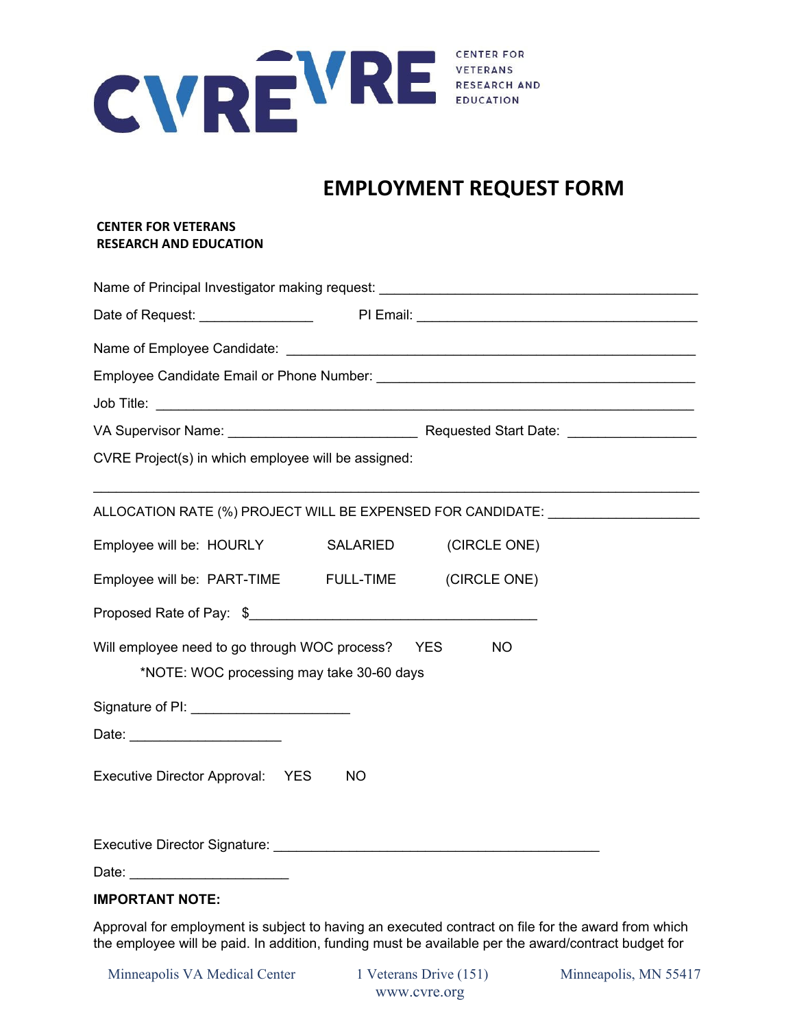

# **EMPLOYMENT REQUEST FORM**

#### **CENTER FOR VETERANS RESEARCH AND EDUCATION**

| Name of Principal Investigator making request: __________________________________                            |           |              |  |  |  |  |  |  |
|--------------------------------------------------------------------------------------------------------------|-----------|--------------|--|--|--|--|--|--|
|                                                                                                              |           |              |  |  |  |  |  |  |
|                                                                                                              |           |              |  |  |  |  |  |  |
|                                                                                                              |           |              |  |  |  |  |  |  |
|                                                                                                              |           |              |  |  |  |  |  |  |
|                                                                                                              |           |              |  |  |  |  |  |  |
| CVRE Project(s) in which employee will be assigned:                                                          |           |              |  |  |  |  |  |  |
| ALLOCATION RATE (%) PROJECT WILL BE EXPENSED FOR CANDIDATE: ____________________                             |           |              |  |  |  |  |  |  |
| Employee will be: HOURLY                                                                                     | SALARIED  | (CIRCLE ONE) |  |  |  |  |  |  |
| Employee will be: PART-TIME FULL-TIME (CIRCLE ONE)                                                           |           |              |  |  |  |  |  |  |
|                                                                                                              |           |              |  |  |  |  |  |  |
| Will employee need to go through WOC process?  YES<br><b>NO</b><br>*NOTE: WOC processing may take 30-60 days |           |              |  |  |  |  |  |  |
| Signature of PI: _________________________                                                                   |           |              |  |  |  |  |  |  |
|                                                                                                              |           |              |  |  |  |  |  |  |
| Executive Director Approval: YES                                                                             | <b>NO</b> |              |  |  |  |  |  |  |
|                                                                                                              |           |              |  |  |  |  |  |  |
|                                                                                                              |           |              |  |  |  |  |  |  |

### **IMPORTANT NOTE:**

Approval for employment is subject to having an executed contract on file for the award from which the employee will be paid. In addition, funding must be available per the award/contract budget for